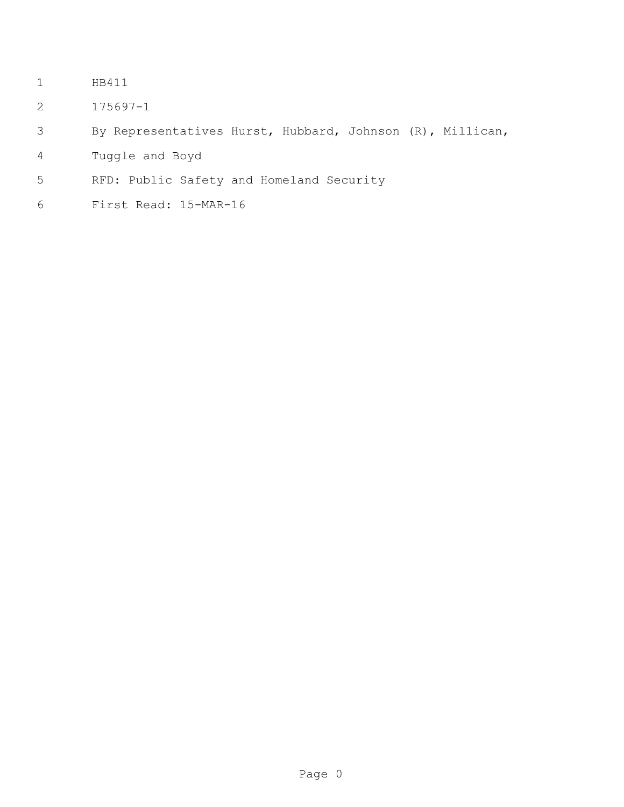- HB411
- 175697-1
- By Representatives Hurst, Hubbard, Johnson (R), Millican,
- Tuggle and Boyd
- RFD: Public Safety and Homeland Security
- First Read: 15-MAR-16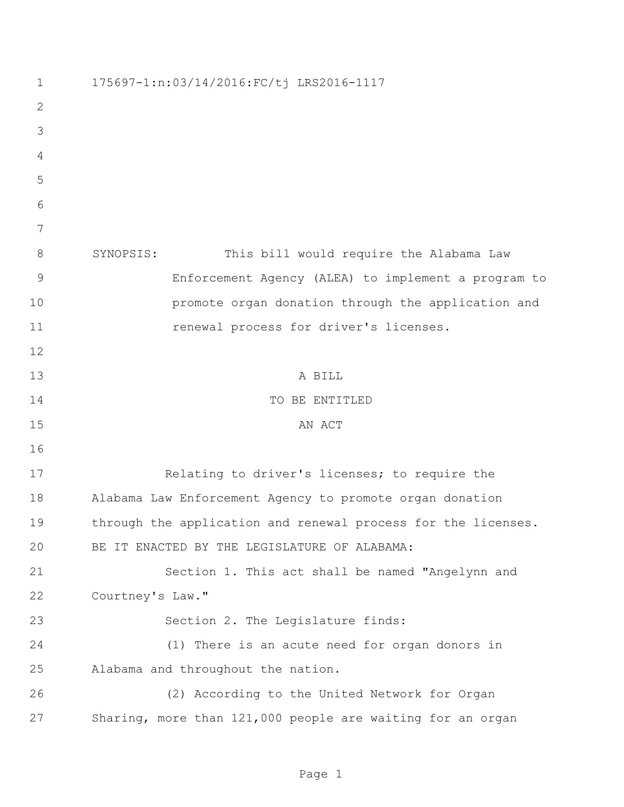| 1             | 175697-1:n:03/14/2016:FC/tj LRS2016-1117                      |
|---------------|---------------------------------------------------------------|
| 2             |                                                               |
| 3             |                                                               |
| 4             |                                                               |
| 5             |                                                               |
| 6             |                                                               |
| 7             |                                                               |
| 8             | SYNOPSIS:<br>This bill would require the Alabama Law          |
| $\mathcal{G}$ | Enforcement Agency (ALEA) to implement a program to           |
| 10            | promote organ donation through the application and            |
| 11            | renewal process for driver's licenses.                        |
| 12            |                                                               |
| 13            | A BILL                                                        |
| 14            | TO BE ENTITLED                                                |
| 15            | AN ACT                                                        |
| 16            |                                                               |
| 17            | Relating to driver's licenses; to require the                 |
| 18            | Alabama Law Enforcement Agency to promote organ donation      |
| 19            | through the application and renewal process for the licenses. |
| 20            | BE IT ENACTED BY THE LEGISLATURE OF ALABAMA:                  |
| 21            | Section 1. This act shall be named "Angelynn and              |
| 22            | Courtney's Law."                                              |
| 23            | Section 2. The Legislature finds:                             |
| 24            | (1) There is an acute need for organ donors in                |
| 25            | Alabama and throughout the nation.                            |
| 26            | (2) According to the United Network for Organ                 |
| 27            | Sharing, more than 121,000 people are waiting for an organ    |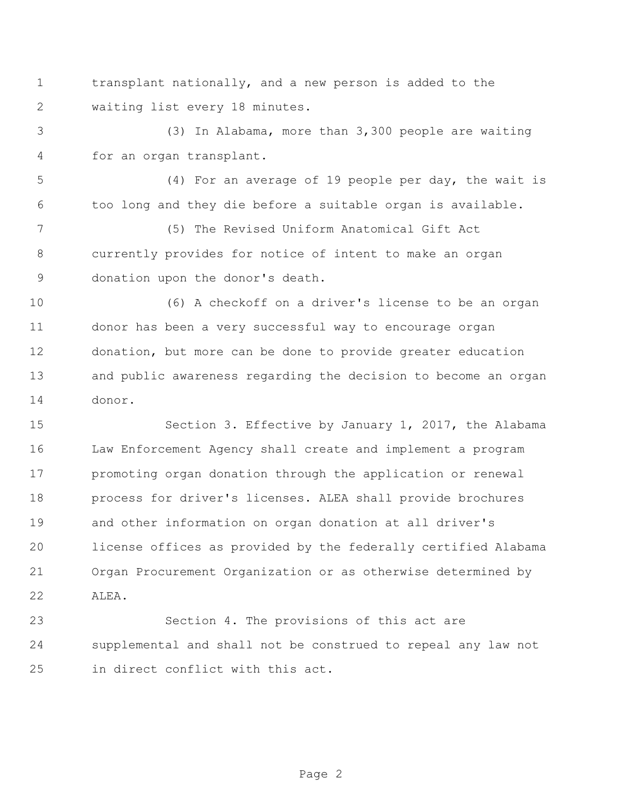transplant nationally, and a new person is added to the waiting list every 18 minutes.

 (3) In Alabama, more than 3,300 people are waiting for an organ transplant.

 (4) For an average of 19 people per day, the wait is too long and they die before a suitable organ is available.

 (5) The Revised Uniform Anatomical Gift Act currently provides for notice of intent to make an organ donation upon the donor's death.

 (6) A checkoff on a driver's license to be an organ donor has been a very successful way to encourage organ donation, but more can be done to provide greater education and public awareness regarding the decision to become an organ donor.

 Section 3. Effective by January 1, 2017, the Alabama Law Enforcement Agency shall create and implement a program promoting organ donation through the application or renewal process for driver's licenses. ALEA shall provide brochures and other information on organ donation at all driver's license offices as provided by the federally certified Alabama Organ Procurement Organization or as otherwise determined by ALEA.

 Section 4. The provisions of this act are supplemental and shall not be construed to repeal any law not in direct conflict with this act.